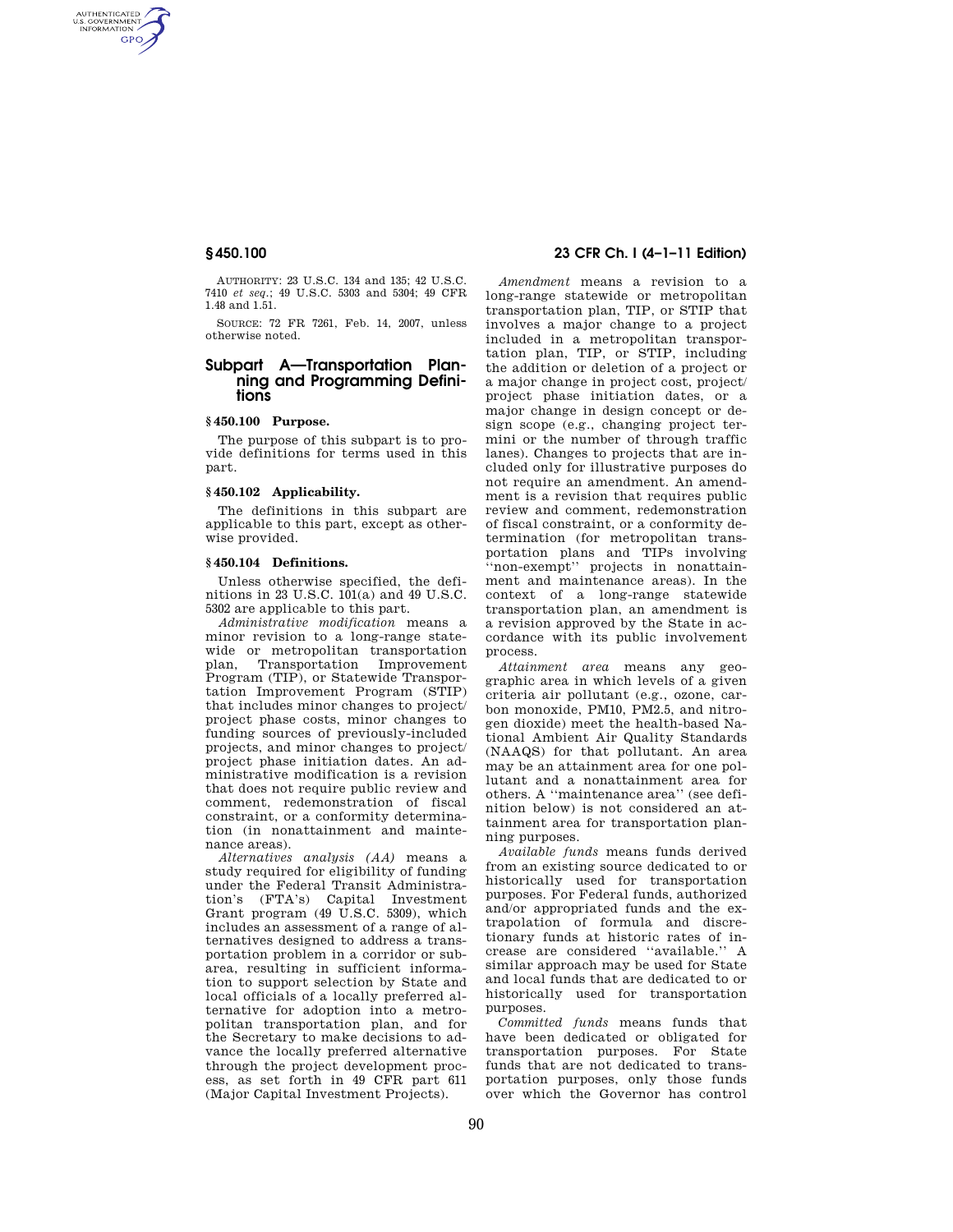AUTHENTICATED<br>U.S. GOVERNMENT<br>INFORMATION **GPO** 

> AUTHORITY: 23 U.S.C. 134 and 135; 42 U.S.C. 7410 *et seq.*; 49 U.S.C. 5303 and 5304; 49 CFR 1.48 and 1.51.

> SOURCE: 72 FR 7261, Feb. 14, 2007, unless otherwise noted.

# **Subpart A—Transportation Planning and Programming Definitions**

# **§ 450.100 Purpose.**

The purpose of this subpart is to provide definitions for terms used in this part.

### **§ 450.102 Applicability.**

The definitions in this subpart are applicable to this part, except as otherwise provided.

### **§ 450.104 Definitions.**

Unless otherwise specified, the definitions in 23 U.S.C. 101(a) and 49 U.S.C. 5302 are applicable to this part.

*Administrative modification* means a minor revision to a long-range statewide or metropolitan transportation<br>plan, Transportation Improvement plan, Transportation Program (TIP), or Statewide Transportation Improvement Program (STIP) that includes minor changes to project/ project phase costs, minor changes to funding sources of previously-included projects, and minor changes to project/ project phase initiation dates. An administrative modification is a revision that does not require public review and comment, redemonstration of fiscal constraint, or a conformity determination (in nonattainment and maintenance areas).

*Alternatives analysis (AA)* means a study required for eligibility of funding under the Federal Transit Administration's (FTA's) Capital Investment Grant program (49 U.S.C. 5309), which includes an assessment of a range of alternatives designed to address a transportation problem in a corridor or subarea, resulting in sufficient information to support selection by State and local officials of a locally preferred alternative for adoption into a metropolitan transportation plan, and for the Secretary to make decisions to advance the locally preferred alternative through the project development process, as set forth in 49 CFR part 611 (Major Capital Investment Projects).

# **§ 450.100 23 CFR Ch. I (4–1–11 Edition)**

*Amendment* means a revision to a long-range statewide or metropolitan transportation plan, TIP, or STIP that involves a major change to a project included in a metropolitan transportation plan, TIP, or STIP, including the addition or deletion of a project or a major change in project cost, project/ project phase initiation dates, or a major change in design concept or design scope (e.g., changing project termini or the number of through traffic lanes). Changes to projects that are included only for illustrative purposes do not require an amendment. An amendment is a revision that requires public review and comment, redemonstration of fiscal constraint, or a conformity determination (for metropolitan transportation plans and TIPs involving ''non-exempt'' projects in nonattainment and maintenance areas). In the context of a long-range statewide transportation plan, an amendment is a revision approved by the State in accordance with its public involvement process.

*Attainment area* means any geographic area in which levels of a given criteria air pollutant (e.g., ozone, carbon monoxide, PM10, PM2.5, and nitrogen dioxide) meet the health-based National Ambient Air Quality Standards (NAAQS) for that pollutant. An area may be an attainment area for one pollutant and a nonattainment area for others. A ''maintenance area'' (see definition below) is not considered an attainment area for transportation planning purposes.

*Available funds* means funds derived from an existing source dedicated to or historically used for transportation purposes. For Federal funds, authorized and/or appropriated funds and the extrapolation of formula and discretionary funds at historic rates of increase are considered ''available.'' A similar approach may be used for State and local funds that are dedicated to or historically used for transportation purposes.

*Committed funds* means funds that have been dedicated or obligated for transportation purposes. For State funds that are not dedicated to transportation purposes, only those funds over which the Governor has control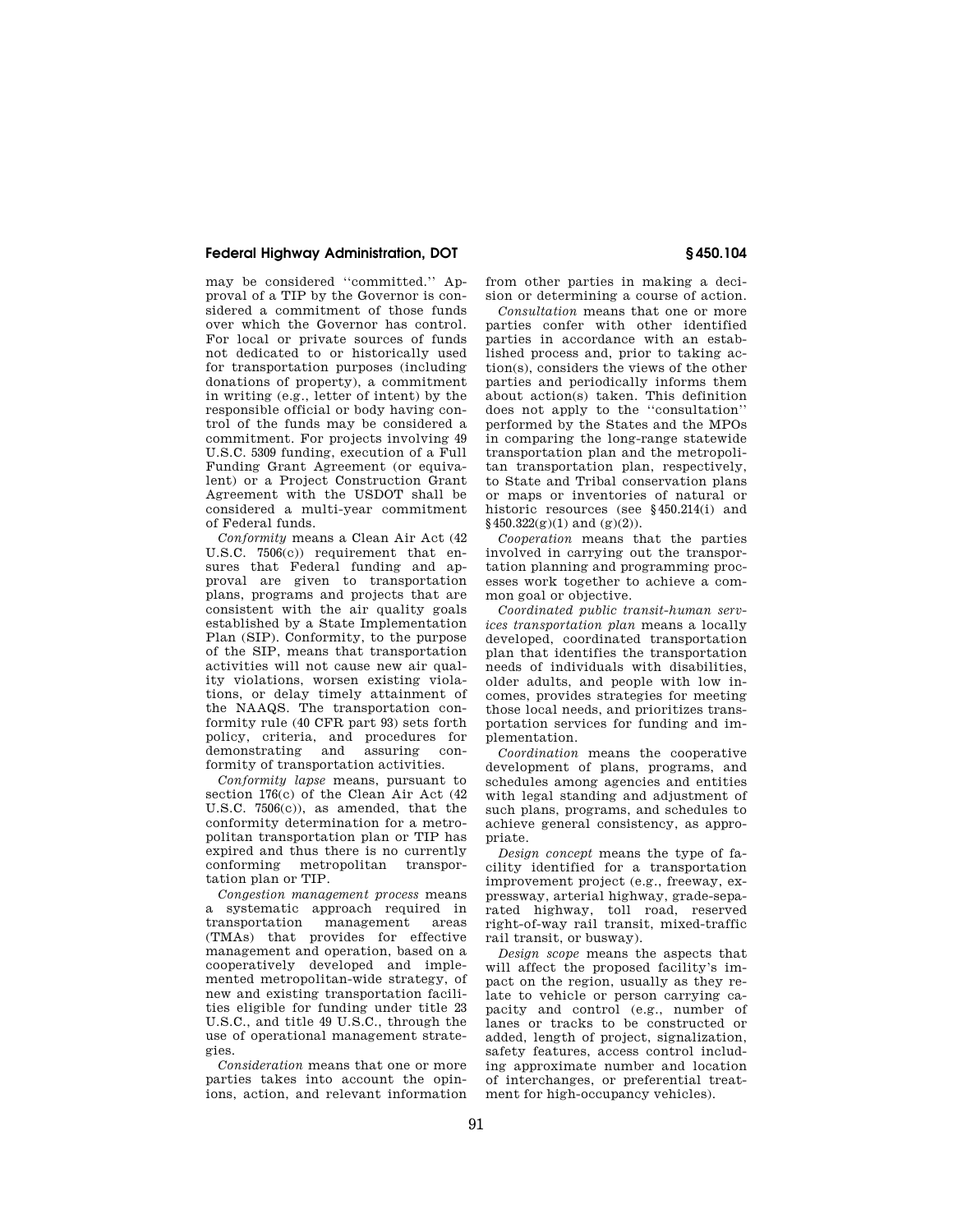## **Federal Highway Administration, DOT § 450.104**

may be considered ''committed.'' Approval of a TIP by the Governor is considered a commitment of those funds over which the Governor has control. For local or private sources of funds not dedicated to or historically used for transportation purposes (including donations of property), a commitment in writing (e.g., letter of intent) by the responsible official or body having control of the funds may be considered a commitment. For projects involving 49 U.S.C. 5309 funding, execution of a Full Funding Grant Agreement (or equivalent) or a Project Construction Grant Agreement with the USDOT shall be considered a multi-year commitment of Federal funds.

*Conformity* means a Clean Air Act (42 U.S.C. 7506(c)) requirement that ensures that Federal funding and approval are given to transportation plans, programs and projects that are consistent with the air quality goals established by a State Implementation Plan (SIP). Conformity, to the purpose of the SIP, means that transportation activities will not cause new air quality violations, worsen existing violations, or delay timely attainment of the NAAQS. The transportation conformity rule (40 CFR part 93) sets forth policy, criteria, and procedures for demonstrating and assuring conformity of transportation activities.

*Conformity lapse* means, pursuant to section 176(c) of the Clean Air Act (42 U.S.C. 7506(c)), as amended, that the conformity determination for a metropolitan transportation plan or TIP has expired and thus there is no currently conforming metropolitan transportation plan or TIP.

*Congestion management process* means a systematic approach required in transportation management areas (TMAs) that provides for effective management and operation, based on a cooperatively developed and implemented metropolitan-wide strategy, of new and existing transportation facilities eligible for funding under title 23 U.S.C., and title 49 U.S.C., through the use of operational management strategies.

*Consideration* means that one or more parties takes into account the opinions, action, and relevant information from other parties in making a decision or determining a course of action.

*Consultation* means that one or more parties confer with other identified parties in accordance with an established process and, prior to taking action(s), considers the views of the other parties and periodically informs them about action(s) taken. This definition does not apply to the ''consultation'' performed by the States and the MPOs in comparing the long-range statewide transportation plan and the metropolitan transportation plan, respectively, to State and Tribal conservation plans or maps or inventories of natural or historic resources (see §450.214(i) and  $§450.322(g)(1)$  and  $(g)(2)$ ).

*Cooperation* means that the parties involved in carrying out the transportation planning and programming processes work together to achieve a common goal or objective.

*Coordinated public transit-human services transportation plan* means a locally developed, coordinated transportation plan that identifies the transportation needs of individuals with disabilities, older adults, and people with low incomes, provides strategies for meeting those local needs, and prioritizes transportation services for funding and implementation.

*Coordination* means the cooperative development of plans, programs, and schedules among agencies and entities with legal standing and adjustment of such plans, programs, and schedules to achieve general consistency, as appropriate.

*Design concept* means the type of facility identified for a transportation improvement project (e.g., freeway, expressway, arterial highway, grade-separated highway, toll road, reserved right-of-way rail transit, mixed-traffic rail transit, or busway).

*Design scope* means the aspects that will affect the proposed facility's impact on the region, usually as they relate to vehicle or person carrying capacity and control (e.g., number of lanes or tracks to be constructed or added, length of project, signalization, safety features, access control including approximate number and location of interchanges, or preferential treatment for high-occupancy vehicles).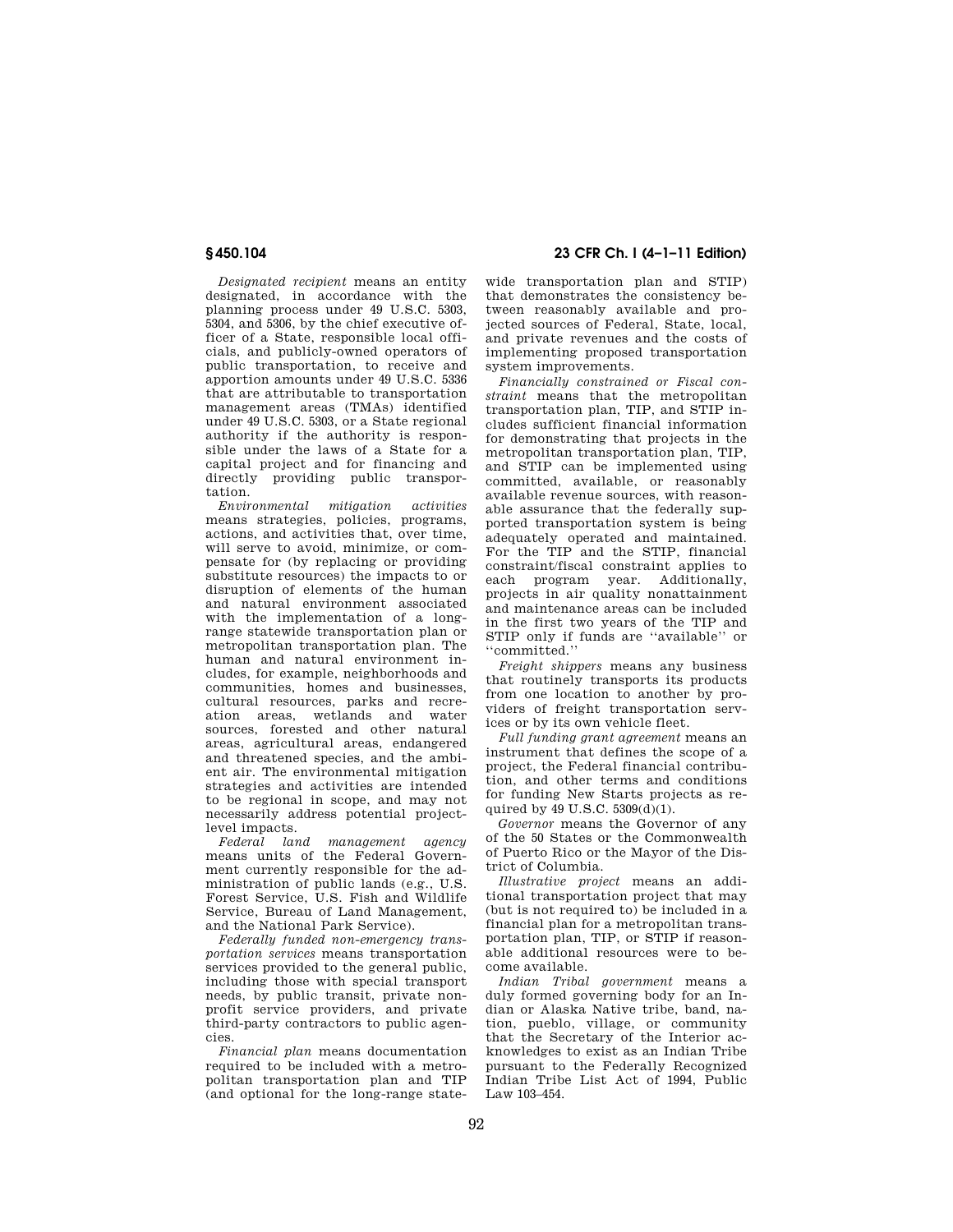*Designated recipient* means an entity designated, in accordance with the planning process under 49 U.S.C. 5303, 5304, and 5306, by the chief executive officer of a State, responsible local officials, and publicly-owned operators of public transportation, to receive and apportion amounts under 49 U.S.C. 5336 that are attributable to transportation management areas (TMAs) identified under 49 U.S.C. 5303, or a State regional authority if the authority is responsible under the laws of a State for a capital project and for financing and directly providing public transportation.

*Environmental mitigation activities*  means strategies, policies, programs, actions, and activities that, over time, will serve to avoid, minimize, or compensate for (by replacing or providing substitute resources) the impacts to or disruption of elements of the human and natural environment associated with the implementation of a longrange statewide transportation plan or metropolitan transportation plan. The human and natural environment includes, for example, neighborhoods and communities, homes and businesses, cultural resources, parks and recreation areas, wetlands and water sources, forested and other natural areas, agricultural areas, endangered and threatened species, and the ambient air. The environmental mitigation strategies and activities are intended to be regional in scope, and may not necessarily address potential project-

level impacts. *Federal land management agency*  means units of the Federal Government currently responsible for the administration of public lands (e.g., U.S. Forest Service, U.S. Fish and Wildlife Service, Bureau of Land Management, and the National Park Service).

*Federally funded non-emergency transportation services* means transportation services provided to the general public, including those with special transport needs, by public transit, private nonprofit service providers, and private third-party contractors to public agencies.

*Financial plan* means documentation required to be included with a metropolitan transportation plan and TIP (and optional for the long-range state-

**§ 450.104 23 CFR Ch. I (4–1–11 Edition)** 

wide transportation plan and STIP) that demonstrates the consistency between reasonably available and projected sources of Federal, State, local, and private revenues and the costs of implementing proposed transportation system improvements.

*Financially constrained or Fiscal constraint* means that the metropolitan transportation plan, TIP, and STIP includes sufficient financial information for demonstrating that projects in the metropolitan transportation plan, TIP, and STIP can be implemented using committed, available, or reasonably available revenue sources, with reasonable assurance that the federally supported transportation system is being adequately operated and maintained. For the TIP and the STIP, financial constraint/fiscal constraint applies to each program year. Additionally, projects in air quality nonattainment and maintenance areas can be included in the first two years of the TIP and STIP only if funds are ''available'' or ''committed.''

*Freight shippers* means any business that routinely transports its products from one location to another by providers of freight transportation services or by its own vehicle fleet.

*Full funding grant agreement* means an instrument that defines the scope of a project, the Federal financial contribution, and other terms and conditions for funding New Starts projects as required by 49 U.S.C. 5309(d)(1).

*Governor* means the Governor of any of the 50 States or the Commonwealth of Puerto Rico or the Mayor of the District of Columbia.

*Illustrative project* means an additional transportation project that may (but is not required to) be included in a financial plan for a metropolitan transportation plan, TIP, or STIP if reasonable additional resources were to become available.

*Indian Tribal government* means a duly formed governing body for an Indian or Alaska Native tribe, band, nation, pueblo, village, or community that the Secretary of the Interior acknowledges to exist as an Indian Tribe pursuant to the Federally Recognized Indian Tribe List Act of 1994, Public Law 103–454.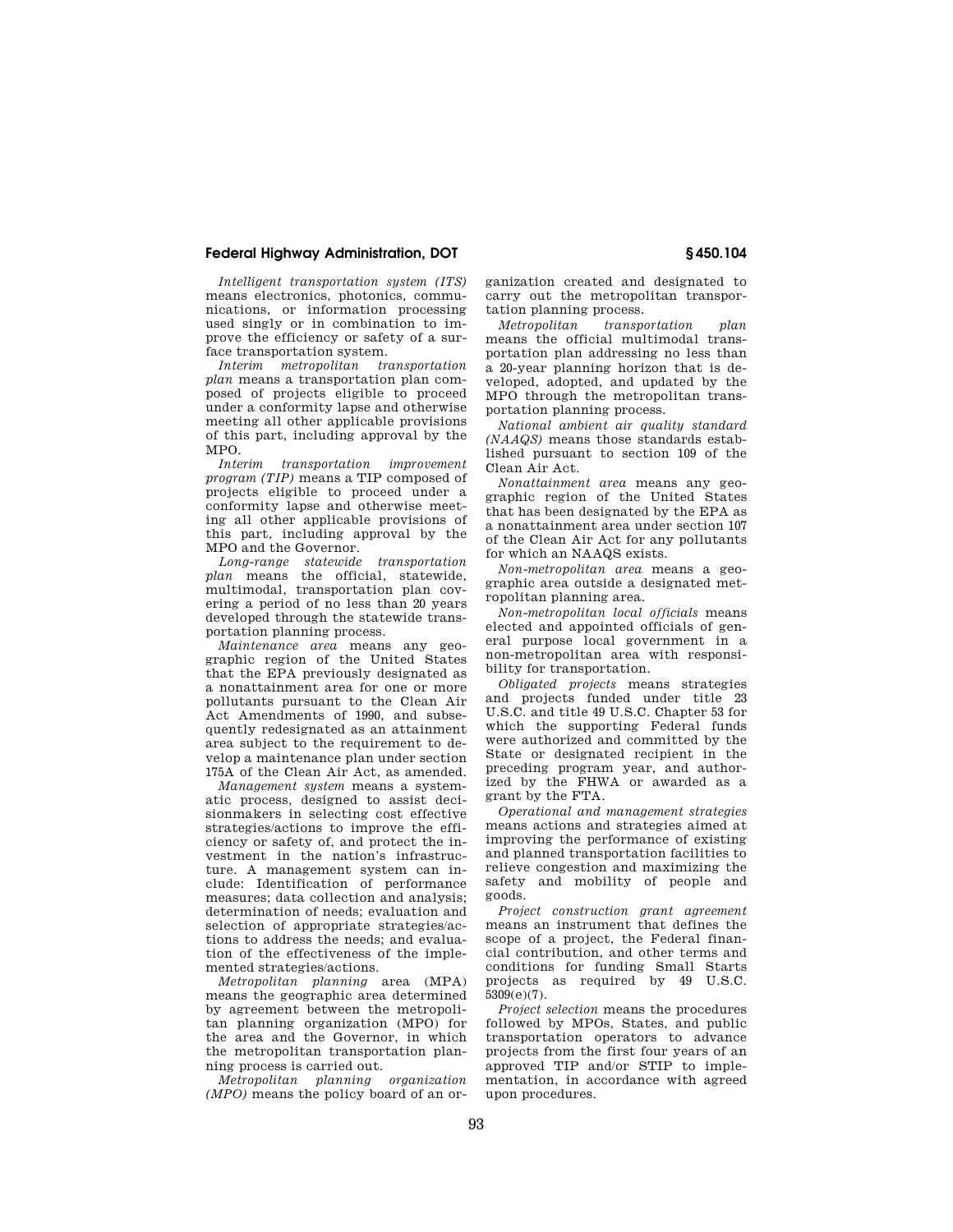## **Federal Highway Administration, DOT § 450.104**

*Intelligent transportation system (ITS)*  means electronics, photonics, communications, or information processing used singly or in combination to improve the efficiency or safety of a surface transportation system.

*Interim metropolitan transportation plan* means a transportation plan composed of projects eligible to proceed under a conformity lapse and otherwise meeting all other applicable provisions of this part, including approval by the MPO.

*Interim transportation improvement program (TIP)* means a TIP composed of projects eligible to proceed under a conformity lapse and otherwise meeting all other applicable provisions of this part, including approval by the MPO and the Governor.

*Long-range statewide transportation plan* means the official, statewide, multimodal, transportation plan covering a period of no less than 20 years developed through the statewide transportation planning process.

*Maintenance area* means any geographic region of the United States that the EPA previously designated as a nonattainment area for one or more pollutants pursuant to the Clean Air Act Amendments of 1990, and subsequently redesignated as an attainment area subject to the requirement to develop a maintenance plan under section 175A of the Clean Air Act, as amended.

*Management system* means a systematic process, designed to assist decisionmakers in selecting cost effective strategies/actions to improve the efficiency or safety of, and protect the investment in the nation's infrastructure. A management system can include: Identification of performance measures; data collection and analysis; determination of needs; evaluation and selection of appropriate strategies/actions to address the needs; and evaluation of the effectiveness of the implemented strategies/actions.

*Metropolitan planning* area (MPA) means the geographic area determined by agreement between the metropolitan planning organization (MPO) for the area and the Governor, in which the metropolitan transportation planning process is carried out.

*Metropolitan planning organization (MPO)* means the policy board of an organization created and designated to carry out the metropolitan transportation planning process.

*Metropolitan transportation plan*  means the official multimodal transportation plan addressing no less than a 20-year planning horizon that is developed, adopted, and updated by the MPO through the metropolitan transportation planning process.

*National ambient air quality standard (NAAQS)* means those standards established pursuant to section 109 of the Clean Air Act.

*Nonattainment area* means any geographic region of the United States that has been designated by the EPA as a nonattainment area under section 107 of the Clean Air Act for any pollutants for which an NAAQS exists.

*Non-metropolitan area* means a geographic area outside a designated metropolitan planning area.

*Non-metropolitan local officials* means elected and appointed officials of general purpose local government in a non-metropolitan area with responsibility for transportation.

*Obligated projects* means strategies and projects funded under title 23 U.S.C. and title 49 U.S.C. Chapter 53 for which the supporting Federal funds were authorized and committed by the State or designated recipient in the preceding program year, and authorized by the FHWA or awarded as a grant by the FTA.

*Operational and management strategies*  means actions and strategies aimed at improving the performance of existing and planned transportation facilities to relieve congestion and maximizing the safety and mobility of people and goods.

*Project construction grant agreement*  means an instrument that defines the scope of a project, the Federal financial contribution, and other terms and conditions for funding Small Starts projects as required by 49 U.S.C. 5309(e)(7).

*Project selection* means the procedures followed by MPOs, States, and public transportation operators to advance projects from the first four years of an approved TIP and/or STIP to implementation, in accordance with agreed upon procedures.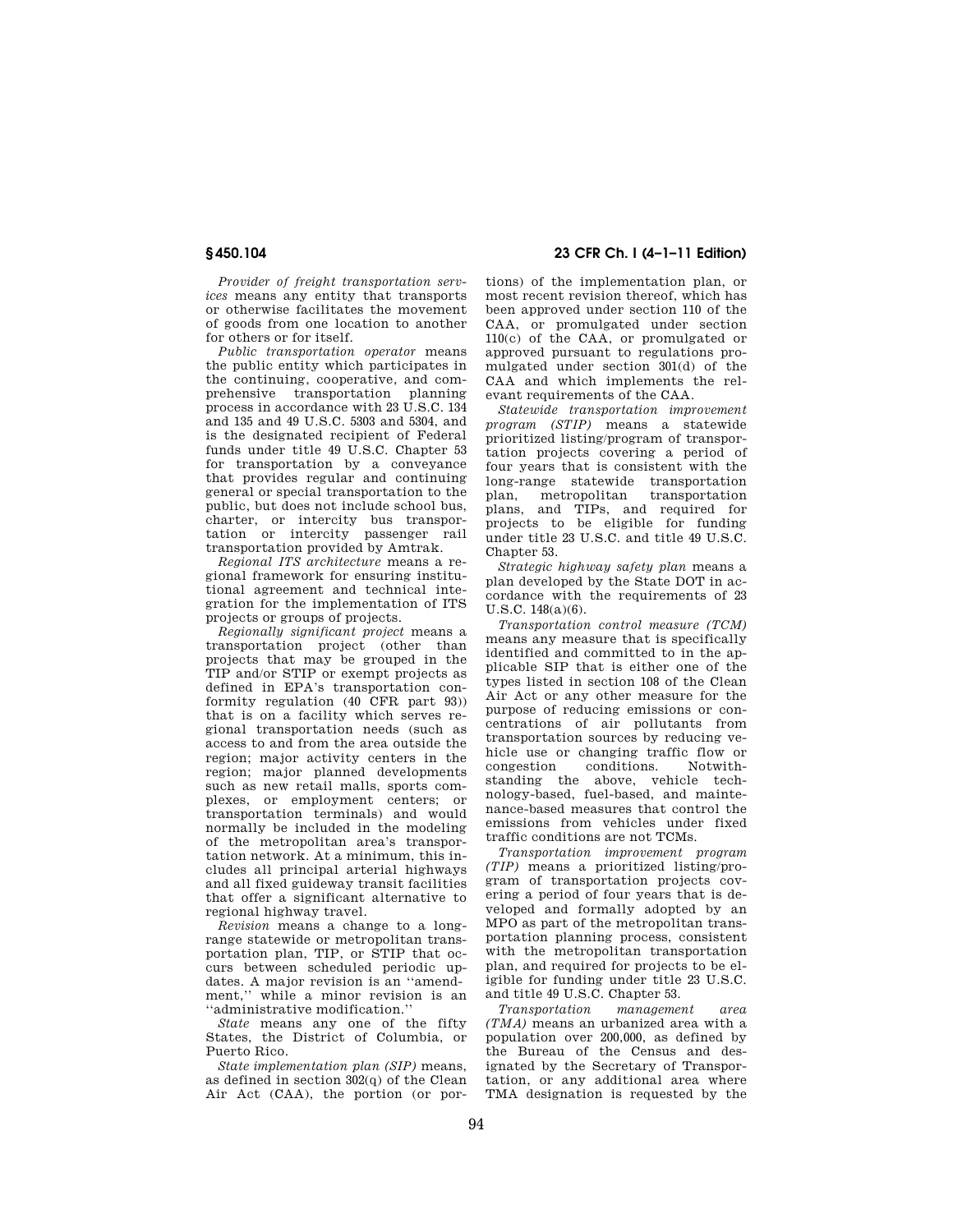*Provider of freight transportation services* means any entity that transports or otherwise facilitates the movement of goods from one location to another for others or for itself.

*Public transportation operator* means the public entity which participates in the continuing, cooperative, and comprehensive transportation planning process in accordance with 23 U.S.C. 134 and 135 and 49 U.S.C. 5303 and 5304, and is the designated recipient of Federal funds under title 49 U.S.C. Chapter 53 for transportation by a conveyance that provides regular and continuing general or special transportation to the public, but does not include school bus, charter, or intercity bus transportation or intercity passenger rail tation or intercity transportation provided by Amtrak.

*Regional ITS architecture* means a regional framework for ensuring institutional agreement and technical integration for the implementation of ITS projects or groups of projects.

*Regionally significant project* means a transportation project (other than projects that may be grouped in the TIP and/or STIP or exempt projects as defined in EPA's transportation conformity regulation (40 CFR part 93)) that is on a facility which serves regional transportation needs (such as access to and from the area outside the region; major activity centers in the region; major planned developments such as new retail malls, sports complexes, or employment centers; or transportation terminals) and would normally be included in the modeling of the metropolitan area's transportation network. At a minimum, this includes all principal arterial highways and all fixed guideway transit facilities that offer a significant alternative to regional highway travel.

*Revision* means a change to a longrange statewide or metropolitan transportation plan, TIP, or STIP that occurs between scheduled periodic updates. A major revision is an ''amendment,'' while a minor revision is an ''administrative modification.''

*State* means any one of the fifty States, the District of Columbia, or Puerto Rico.

*State implementation plan (SIP)* means, as defined in section 302(q) of the Clean Air Act (CAA), the portion (or por-

**§ 450.104 23 CFR Ch. I (4–1–11 Edition)** 

tions) of the implementation plan, or most recent revision thereof, which has been approved under section 110 of the CAA, or promulgated under section 110(c) of the CAA, or promulgated or approved pursuant to regulations promulgated under section 301(d) of the CAA and which implements the relevant requirements of the CAA.

*Statewide transportation improvement program (STIP)* means a statewide prioritized listing/program of transportation projects covering a period of four years that is consistent with the long-range statewide transportation plan, metropolitan transportation plans, and TIPs, and required for projects to be eligible for funding under title 23 U.S.C. and title 49 U.S.C. Chapter 53.

*Strategic highway safety plan* means a plan developed by the State DOT in accordance with the requirements of 23 U.S.C. 148(a)(6).

*Transportation control measure (TCM)*  means any measure that is specifically identified and committed to in the applicable SIP that is either one of the types listed in section 108 of the Clean Air Act or any other measure for the purpose of reducing emissions or concentrations of air pollutants from transportation sources by reducing vehicle use or changing traffic flow or congestion conditions. Notwithstanding the above, vehicle technology-based, fuel-based, and maintenance-based measures that control the emissions from vehicles under fixed traffic conditions are not TCMs.

*Transportation improvement program (TIP)* means a prioritized listing/program of transportation projects covering a period of four years that is developed and formally adopted by an MPO as part of the metropolitan transportation planning process, consistent with the metropolitan transportation plan, and required for projects to be eligible for funding under title 23 U.S.C. and title 49 U.S.C. Chapter 53.

*Transportation management area (TMA)* means an urbanized area with a population over 200,000, as defined by the Bureau of the Census and designated by the Secretary of Transportation, or any additional area where TMA designation is requested by the